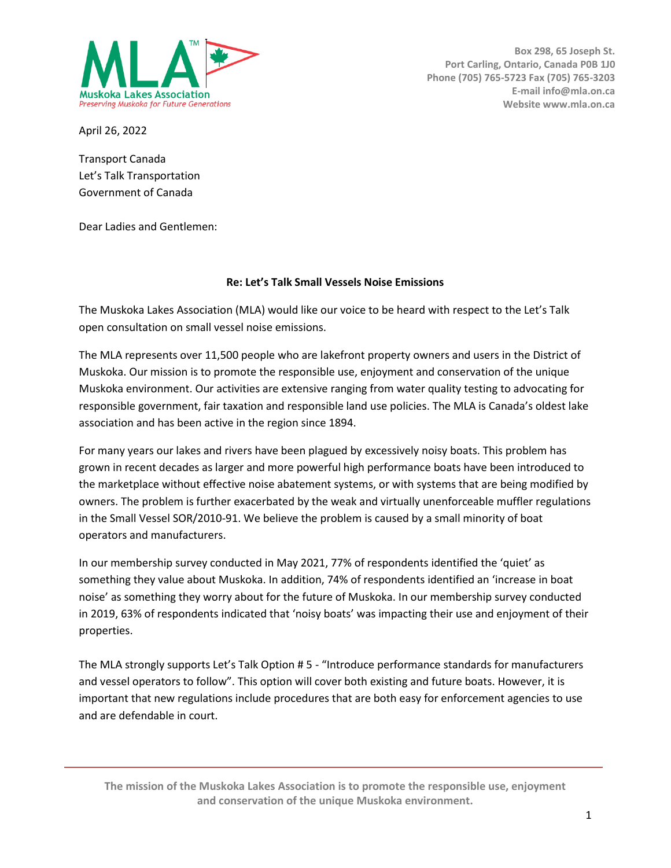

**Box 298, 65 Joseph St. Port Carling, Ontario, Canada P0B 1J0 Phone (705) 765-5723 Fax (705) 765-3203 E-mail info@mla.on.ca Website www.mla.on.ca**

April 26, 2022

Transport Canada Let's Talk Transportation Government of Canada

Dear Ladies and Gentlemen:

## **Re: Let's Talk Small Vessels Noise Emissions**

The Muskoka Lakes Association (MLA) would like our voice to be heard with respect to the Let's Talk open consultation on small vessel noise emissions.

The MLA represents over 11,500 people who are lakefront property owners and users in the District of Muskoka. Our mission is to promote the responsible use, enjoyment and conservation of the unique Muskoka environment. Our activities are extensive ranging from water quality testing to advocating for responsible government, fair taxation and responsible land use policies. The MLA is Canada's oldest lake association and has been active in the region since 1894.

For many years our lakes and rivers have been plagued by excessively noisy boats. This problem has grown in recent decades as larger and more powerful high performance boats have been introduced to the marketplace without effective noise abatement systems, or with systems that are being modified by owners. The problem is further exacerbated by the weak and virtually unenforceable muffler regulations in the Small Vessel SOR/2010-91. We believe the problem is caused by a small minority of boat operators and manufacturers.

In our membership survey conducted in May 2021, 77% of respondents identified the 'quiet' as something they value about Muskoka. In addition, 74% of respondents identified an 'increase in boat noise' as something they worry about for the future of Muskoka. In our membership survey conducted in 2019, 63% of respondents indicated that 'noisy boats' was impacting their use and enjoyment of their properties.

The MLA strongly supports Let's Talk Option # 5 - "Introduce performance standards for manufacturers and vessel operators to follow". This option will cover both existing and future boats. However, it is important that new regulations include procedures that are both easy for enforcement agencies to use and are defendable in court.

**The mission of the Muskoka Lakes Association is to promote the responsible use, enjoyment and conservation of the unique Muskoka environment.**